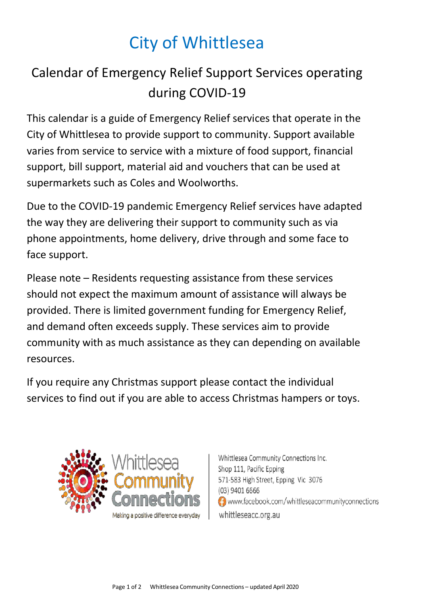## City of Whittlesea

## Calendar of Emergency Relief Support Services operating during COVID-19

This calendar is a guide of Emergency Relief services that operate in the City of Whittlesea to provide support to community. Support available varies from service to service with a mixture of food support, financial support, bill support, material aid and vouchers that can be used at supermarkets such as Coles and Woolworths.

Due to the COVID-19 pandemic Emergency Relief services have adapted the way they are delivering their support to community such as via phone appointments, home delivery, drive through and some face to face support.

Please note – Residents requesting assistance from these services should not expect the maximum amount of assistance will always be provided. There is limited government funding for Emergency Relief, and demand often exceeds supply. These services aim to provide community with as much assistance as they can depending on available resources.

If you require any Christmas support please contact the individual services to find out if you are able to access Christmas hampers or toys.



Whittlesea Community Connections Inc. Shop 111, Pacific Epping 571-583 High Street, Epping Vic 3076 (03) 9401 6666 www.facebook.com/whittleseacommunityconnections whittleseacc.org.au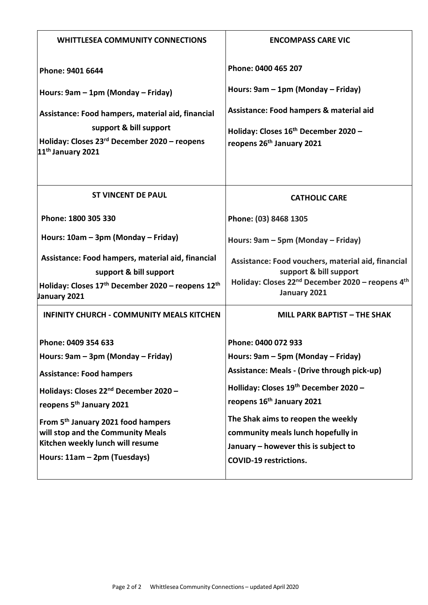| <b>WHITTLESEA COMMUNITY CONNECTIONS</b>                                                                                                                                  | <b>ENCOMPASS CARE VIC</b>                                                                                                                                                |
|--------------------------------------------------------------------------------------------------------------------------------------------------------------------------|--------------------------------------------------------------------------------------------------------------------------------------------------------------------------|
| Phone: 9401 6644                                                                                                                                                         | Phone: 0400 465 207                                                                                                                                                      |
| Hours: 9am - 1pm (Monday - Friday)                                                                                                                                       | Hours: 9am - 1pm (Monday - Friday)                                                                                                                                       |
| Assistance: Food hampers, material aid, financial<br>support & bill support<br>Holiday: Closes 23 <sup>rd</sup> December 2020 - reopens<br>11 <sup>th</sup> January 2021 | Assistance: Food hampers & material aid<br>Holiday: Closes 16 <sup>th</sup> December 2020 -<br>reopens 26 <sup>th</sup> January 2021                                     |
| <b>ST VINCENT DE PAUL</b>                                                                                                                                                | <b>CATHOLIC CARE</b>                                                                                                                                                     |
| Phone: 1800 305 330                                                                                                                                                      | Phone: (03) 8468 1305                                                                                                                                                    |
| Hours: 10am - 3pm (Monday - Friday)                                                                                                                                      | Hours: 9am - 5pm (Monday - Friday)                                                                                                                                       |
| Assistance: Food hampers, material aid, financial<br>support & bill support<br>Holiday: Closes 17 <sup>th</sup> December 2020 - reopens 12 <sup>th</sup><br>January 2021 | Assistance: Food vouchers, material aid, financial<br>support & bill support<br>Holiday: Closes 22 <sup>nd</sup> December 2020 - reopens 4 <sup>th</sup><br>January 2021 |
| <b>INFINITY CHURCH - COMMUNITY MEALS KITCHEN</b>                                                                                                                         | <b>MILL PARK BAPTIST - THE SHAK</b>                                                                                                                                      |
| Phone: 0409 354 633                                                                                                                                                      | Phone: 0400 072 933                                                                                                                                                      |
| Hours: 9am - 3pm (Monday - Friday)                                                                                                                                       | Hours: 9am - 5pm (Monday - Friday)                                                                                                                                       |
| <b>Assistance: Food hampers</b>                                                                                                                                          | Assistance: Meals - (Drive through pick-up)                                                                                                                              |
| Holidays: Closes 22 <sup>nd</sup> December 2020 -                                                                                                                        | Holliday: Closes 19th December 2020 -                                                                                                                                    |
| reopens 5 <sup>th</sup> January 2021                                                                                                                                     | reopens 16 <sup>th</sup> January 2021                                                                                                                                    |
| From 5 <sup>th</sup> January 2021 food hampers                                                                                                                           | The Shak aims to reopen the weekly                                                                                                                                       |
| will stop and the Community Meals                                                                                                                                        | community meals lunch hopefully in                                                                                                                                       |
| Kitchen weekly lunch will resume                                                                                                                                         | January - however this is subject to                                                                                                                                     |
| Hours: 11am - 2pm (Tuesdays)                                                                                                                                             | <b>COVID-19 restrictions.</b>                                                                                                                                            |
|                                                                                                                                                                          |                                                                                                                                                                          |